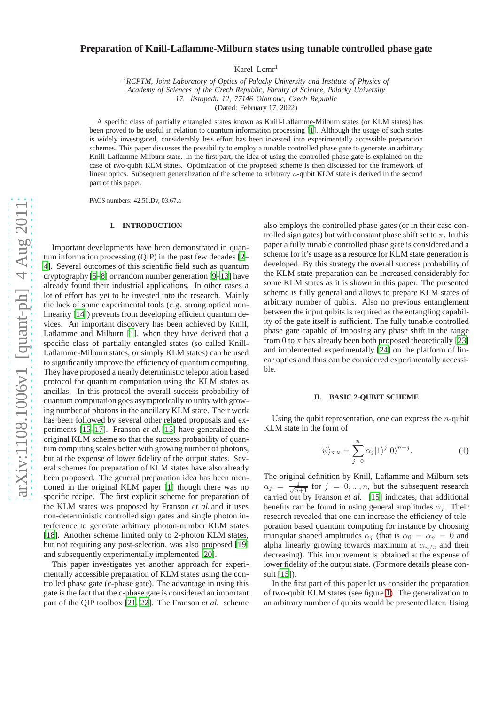# $arXiv:1108.1006v1$  [quant-ph]  $4 \text{ Aug } 2011$ [arXiv:1108.1006v1 \[quant-ph\] 4 Aug 2011](http://arxiv.org/abs/1108.1006v1)

# **Preparation of Knill-Laflamme-Milburn states using tunable controlled phase gate**

Karel Lemr<sup>1</sup>

*<sup>1</sup>RCPTM, Joint Laboratory of Optics of Palacky University and Institute of Physics of Academy of Sciences of the Czech Republic, Faculty of Science, Palacky University 17. listopadu 12, 77146 Olomouc, Czech Republic*

(Dated: February 17, 2022)

A specific class of partially entangled states known as Knill-Laflamme-Milburn states (or KLM states) has been proved to be useful in relation to quantum information processing [\[1\]](#page-4-0). Although the usage of such states is widely investigated, considerably less effort has been invested into experimentally accessible preparation schemes. This paper discusses the possibility to employ a tunable controlled phase gate to generate an arbitrary Knill-Laflamme-Milburn state. In the first part, the idea of using the controlled phase gate is explained on the case of two-qubit KLM states. Optimization of the proposed scheme is then discussed for the framework of linear optics. Subsequent generalization of the scheme to arbitrary  $n$ -qubit KLM state is derived in the second part of this paper.

PACS numbers: 42.50.Dv, 03.67.a

### **I. INTRODUCTION**

Important developments have been demonstrated in quantum information processing (QIP) in the past few decades [\[2](#page-4-1)– [4\]](#page-4-2). Several outcomes of this scientific field such as quantum cryptography [\[5](#page-4-3)[–8\]](#page-4-4) or random number generation [\[9](#page-4-5)[–13](#page-4-6)] have already found their industrial applications. In other cases a lot of effort has yet to be invested into the research. Mainly the lack of some experimental tools (e.g. strong optical non-linearity [\[14\]](#page-4-7)) prevents from developing efficient quantum devices. An important discovery has been achieved by Knill, Laflamme and Milburn [\[1](#page-4-0)], when they have derived that a specific class of partially entangled states (so called Knill-Laflamme-Milburn states, or simply KLM states) can be used to significantly improve the efficiency of quantum computing. They have proposed a nearly deterministic teleportation based protocol for quantum computation using the KLM states as ancillas. In this protocol the overall success probability of quantum computation goes asymptotically to unity with growing number of photons in the ancillary KLM state. Their work has been followed by several other related proposals and experiments [\[15](#page-4-8)[–17](#page-4-9)]. Franson *et al.*[\[15\]](#page-4-8) have generalized the original KLM scheme so that the success probability of quantum computing scales better with growing number of photons, but at the expense of lower fidelity of the output states. Several schemes for preparation of KLM states have also already been proposed. The general preparation idea has been mentioned in the original KLM paper [\[1\]](#page-4-0) though there was no specific recipe. The first explicit scheme for preparation of the KLM states was proposed by Franson *et al.* and it uses non-deterministic controlled sign gates and single photon interference to generate arbitrary photon-number KLM states [\[18\]](#page-4-10). Another scheme limited only to 2-photon KLM states, but not requiring any post-selection, was also proposed [\[19\]](#page-4-11) and subsequently experimentally implemented [\[20\]](#page-4-12).

This paper investigates yet another approach for experimentally accessible preparation of KLM states using the controlled phase gate (c-phase gate). The advantage in using this gate is the fact that the c-phase gate is considered an important part of the QIP toolbox [\[21](#page-4-13), [22\]](#page-4-14). The Franson *et al.* scheme

also employs the controlled phase gates (or in their case controlled sign gates) but with constant phase shift set to  $\pi$ . In this paper a fully tunable controlled phase gate is considered and a scheme for it's usage as a resource for KLM state generation is developed. By this strategy the overall success probability of the KLM state preparation can be increased considerably for some KLM states as it is shown in this paper. The presented scheme is fully general and allows to prepare KLM states of arbitrary number of qubits. Also no previous entanglement between the input qubits is required as the entangling capability of the gate itself is sufficient. The fully tunable controlled phase gate capable of imposing any phase shift in the range from 0 to  $\pi$  has already been both proposed theoretically [\[23\]](#page-4-15) and implemented experimentally [\[24\]](#page-4-16) on the platform of linear optics and thus can be considered experimentally accessible.

### **II. BASIC 2-QUBIT SCHEME**

Using the qubit representation, one can express the  $n$ -qubit KLM state in the form of

<span id="page-0-0"></span>
$$
|\psi\rangle_{\text{KLM}} = \sum_{j=0}^{n} \alpha_j |1\rangle^j |0\rangle^{n-j}.
$$
 (1)

The original definition by Knill, Laflamme and Milburn sets  $\alpha_j = \frac{1}{\sqrt{n+1}}$  for  $j = 0, ..., n$ , but the subsequent research carried out by Franson *et al.* [\[15\]](#page-4-8) indicates, that additional benefits can be found in using general amplitudes  $\alpha_i$ . Their research revealed that one can increase the efficiency of teleporation based quantum computing for instance by choosing triangular shaped amplitudes  $\alpha_i$  (that is  $\alpha_0 = \alpha_n = 0$  and alpha linearly growing towards maximum at  $\alpha_{n/2}$  and then decreasing). This improvement is obtained at the expense of lower fidelity of the output state. (For more details please consult [\[15](#page-4-8)]).

In the first part of this paper let us consider the preparation of two-qubit KLM states (see figure [1\)](#page-1-0). The generalization to an arbitrary number of qubits would be presented later. Using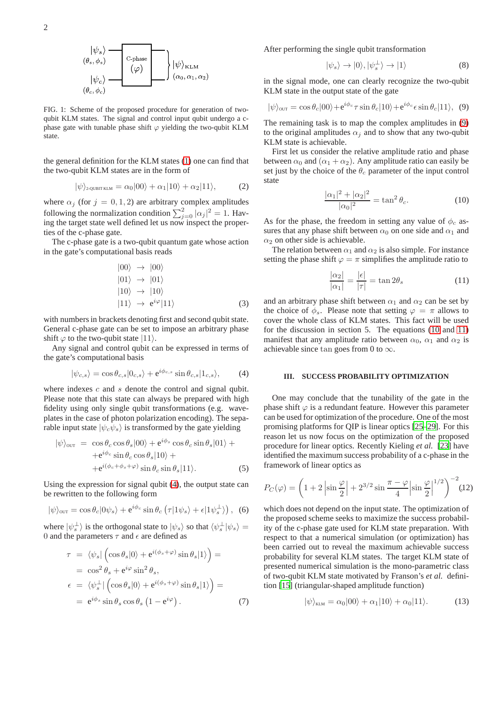

<span id="page-1-0"></span>FIG. 1: Scheme of the proposed procedure for generation of twoqubit KLM states. The signal and control input qubit undergo a cphase gate with tunable phase shift  $\varphi$  yielding the two-qubit KLM state.

the general definition for the KLM states [\(1\)](#page-0-0) one can find that the two-qubit KLM states are in the form of

$$
|\psi\rangle_{2\text{-QUBIT KLM}} = \alpha_0 |00\rangle + \alpha_1 |10\rangle + \alpha_2 |11\rangle, \tag{2}
$$

where  $\alpha_j$  (for  $j = 0, 1, 2$ ) are arbitrary complex amplitudes following the normalization condition  $\sum_{j=0}^{2} |\alpha_j|^2 = 1$ . Having the target state well defined let us now inspect the properties of the c-phase gate.

The c-phase gate is a two-qubit quantum gate whose action in the gate's computational basis reads

$$
|00\rangle \rightarrow |00\rangle
$$
  
\n
$$
|01\rangle \rightarrow |01\rangle
$$
  
\n
$$
|10\rangle \rightarrow |10\rangle
$$
  
\n
$$
|11\rangle \rightarrow e^{i\varphi}|11\rangle
$$
 (3)

with numbers in brackets denoting first and second qubit state. General c-phase gate can be set to impose an arbitrary phase shift  $\varphi$  to the two-qubit state  $|11\rangle$ .

Any signal and control qubit can be expressed in terms of the gate's computational basis

<span id="page-1-1"></span>
$$
|\psi_{c,s}\rangle = \cos\theta_{c,s}|0_{c,s}\rangle + e^{i\phi_{c,s}}\sin\theta_{c,s}|1_{c,s}\rangle,\tag{4}
$$

where indexes  $c$  and  $s$  denote the control and signal qubit. Please note that this state can always be prepared with high fidelity using only single qubit transformations (e.g. waveplates in the case of photon polarization encoding). The separable input state  $|\psi_c \psi_s \rangle$  is transformed by the gate yielding

$$
|\psi\rangle_{\text{OUT}} = \cos \theta_c \cos \theta_s |00\rangle + e^{i\phi_s} \cos \theta_c \sin \theta_s |01\rangle ++ e^{i\phi_c} \sin \theta_c \cos \theta_s |10\rangle ++ e^{i(\phi_c + \phi_s + \varphi)} \sin \theta_c \sin \theta_s |11\rangle.
$$
 (5)

Using the expression for signal qubit [\(4\)](#page-1-1), the output state can be rewritten to the following form

$$
|\psi\rangle_{\text{out}} = \cos \theta_c |0\psi_s\rangle + e^{i\phi_c} \sin \theta_c (\tau |1\psi_s\rangle + \epsilon |1\psi_s^{\perp}\rangle), \tag{6}
$$

where  $|\psi_s^{\perp}\rangle$  is the orthogonal state to  $|\psi_s\rangle$  so that  $\langle \psi_s^{\perp} | \psi_s \rangle =$ 0 and the parameters  $\tau$  and  $\epsilon$  are defined as

<span id="page-1-6"></span>
$$
\tau = \langle \psi_s | \left( \cos \theta_s | 0 \rangle + e^{i(\phi_s + \varphi)} \sin \theta_s | 1 \rangle \right) =
$$
  
\n
$$
= \cos^2 \theta_s + e^{i\varphi} \sin^2 \theta_s,
$$
  
\n
$$
\epsilon = \langle \psi_s^{\perp} | \left( \cos \theta_s | 0 \rangle + e^{i(\phi_s + \varphi)} \sin \theta_s | 1 \rangle \right) =
$$
  
\n
$$
= e^{i\phi_s} \sin \theta_s \cos \theta_s \left( 1 - e^{i\varphi} \right).
$$
 (7)

 $\Delta$ 

After performing the single qubit transformation

$$
|\psi_s\rangle \to |0\rangle, |\psi_s^{\perp}\rangle \to |1\rangle \tag{8}
$$

in the signal mode, one can clearly recognize the two-qubit KLM state in the output state of the gate

<span id="page-1-2"></span>
$$
|\psi\rangle_{\text{out}} = \cos \theta_c |00\rangle + e^{i\phi_c} \tau \sin \theta_c |10\rangle + e^{i\phi_c} \epsilon \sin \theta_c |11\rangle, \tag{9}
$$

The remaining task is to map the complex amplitudes in [\(9\)](#page-1-2) to the original amplitudes  $\alpha_i$  and to show that any two-qubit KLM state is achievable.

First let us consider the relative amplitude ratio and phase between  $\alpha_0$  and  $(\alpha_1 + \alpha_2)$ . Any amplitude ratio can easily be set just by the choice of the  $\theta_c$  parameter of the input control state

<span id="page-1-3"></span>
$$
\frac{|\alpha_1|^2 + |\alpha_2|^2}{|\alpha_0|^2} = \tan^2 \theta_c.
$$
 (10)

As for the phase, the freedom in setting any value of  $\phi_c$  assures that any phase shift between  $\alpha_0$  on one side and  $\alpha_1$  and  $\alpha_2$  on other side is achievable.

The relation between  $\alpha_1$  and  $\alpha_2$  is also simple. For instance setting the phase shift  $\varphi = \pi$  simplifies the amplitude ratio to

<span id="page-1-4"></span>
$$
\frac{|\alpha_2|}{|\alpha_1|} = \frac{|\epsilon|}{|\tau|} = \tan 2\theta_s \tag{11}
$$

and an arbitrary phase shift between  $\alpha_1$  and  $\alpha_2$  can be set by the choice of  $\phi_s$ . Please note that setting  $\varphi = \pi$  allows to cover the whole class of KLM states. This fact will be used for the discussion in section 5. The equations [\(10](#page-1-3) and [11\)](#page-1-4) manifest that any amplitude ratio between  $\alpha_0$ ,  $\alpha_1$  and  $\alpha_2$  is achievable since tan goes from 0 to  $\infty$ .

## **III. SUCCESS PROBABILITY OPTIMIZATION**

One may conclude that the tunability of the gate in the phase shift  $\varphi$  is a redundant feature. However this parameter can be used for optimization of the procedure. One of the most promising platforms for QIP is linear optics [\[25](#page-4-17)[–29\]](#page-4-18). For this reason let us now focus on the optimization of the proposed procedure for linear optics. Recently Kieling *et al.* [\[23\]](#page-4-15) have identified the maximum success probability of a c-phase in the framework of linear optics as

<span id="page-1-5"></span>
$$
P_C(\varphi) = \left(1 + 2\left|\sin\frac{\varphi}{2}\right| + 2^{3/2}\sin\frac{\pi-\varphi}{4}\left|\sin\frac{\varphi}{2}\right|^{1/2}\right)^{-2} (12)
$$

which does not depend on the input state. The optimization of the proposed scheme seeks to maximize the success probability of the c-phase gate used for KLM state preparation. With respect to that a numerical simulation (or optimization) has been carried out to reveal the maximum achievable success probability for several KLM states. The target KLM state of presented numerical simulation is the mono-parametric class of two-qubit KLM state motivated by Franson's *et al.* definition [\[15\]](#page-4-8) (triangular-shaped amplitude function)

$$
|\psi\rangle_{\text{KLM}} = \alpha_0 |00\rangle + \alpha_1 |10\rangle + \alpha_0 |11\rangle. \tag{13}
$$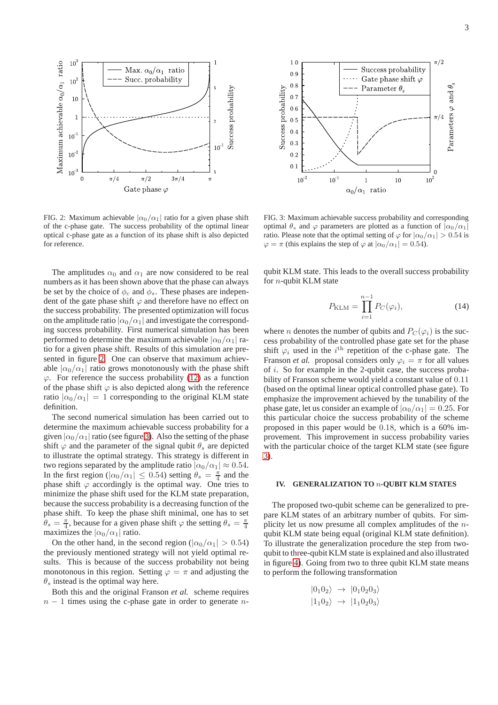

Max.  $\alpha_0/\alpha_1$  ratio

 $10^3$ 

<span id="page-2-0"></span>FIG. 2: Maximum achievable  $|\alpha_0/\alpha_1|$  ratio for a given phase shift of the c-phase gate. The success probability of the optimal linear optical c-phase gate as a function of its phase shift is also depicted for reference.

The amplitudes  $\alpha_0$  and  $\alpha_1$  are now considered to be real numbers as it has been shown above that the phase can always be set by the choice of  $\phi_c$  and  $\phi_s$ . These phases are independent of the gate phase shift  $\varphi$  and therefore have no effect on the success probability. The presented optimization will focus on the amplitude ratio  $|\alpha_0/\alpha_1|$  and investigate the corresponding success probability. First numerical simulation has been performed to determine the maximum achievable  $|\alpha_0/\alpha_1|$  ratio for a given phase shift. Results of this simulation are presented in figure [2.](#page-2-0) One can observe that maximum achievable  $|\alpha_0/\alpha_1|$  ratio grows monotonously with the phase shift  $\varphi$ . For reference the success probability [\(12\)](#page-1-5) as a function of the phase shift  $\varphi$  is also depicted along with the reference ratio  $|\alpha_0/\alpha_1| = 1$  corresponding to the original KLM state definition.

The second numerical simulation has been carried out to determine the maximum achievable success probability for a given  $|\alpha_0/\alpha_1|$  ratio (see figure [3\)](#page-2-1). Also the setting of the phase shift  $\varphi$  and the parameter of the signal qubit  $\theta_s$  are depicted to illustrate the optimal strategy. This strategy is different in two regions separated by the amplitude ratio  $|\alpha_0/\alpha_1| \approx 0.54$ . In the first region ( $|\alpha_0/\alpha_1| \leq 0.54$ ) setting  $\theta_s = \frac{\pi}{4}$  and the phase shift  $\varphi$  accordingly is the optimal way. One tries to minimize the phase shift used for the KLM state preparation, because the success probability is a decreasing function of the phase shift. To keep the phase shift minimal, one has to set  $\theta_s = \frac{\pi}{4}$ , because for a given phase shift  $\varphi$  the setting  $\theta_s = \frac{\pi}{4}$ maximizes the  $|\alpha_0/\alpha_1|$  ratio.

On the other hand, in the second region ( $|\alpha_0/\alpha_1| > 0.54$ ) the previously mentioned strategy will not yield optimal results. This is because of the success probability not being monotonous in this region. Setting  $\varphi = \pi$  and adjusting the  $\theta_s$  instead is the optimal way here.

Both this and the original Franson *et al.* scheme requires  $n-1$  times using the c-phase gate in order to generate n-



<span id="page-2-1"></span>FIG. 3: Maximum achievable success probability and corresponding optimal  $\theta_s$  and  $\varphi$  parameters are plotted as a function of  $|\alpha_0/\alpha_1|$ ratio. Please note that the optimal setting of  $\varphi$  for  $|\alpha_0/\alpha_1| > 0.54$  is  $\varphi = \pi$  (this explains the step of  $\varphi$  at  $|\alpha_0/\alpha_1| = 0.54$ ).

qubit KLM state. This leads to the overall success probability for n-qubit KLM state

$$
P_{\text{KLM}} = \prod_{i=1}^{n-1} P_C(\varphi_i),\tag{14}
$$

where *n* denotes the number of qubits and  $P_C(\varphi_i)$  is the success probability of the controlled phase gate set for the phase shift  $\varphi_i$  used in the  $i^{\text{th}}$  repetition of the c-phase gate. The Franson *et al.* proposal considers only  $\varphi_i = \pi$  for all values of i. So for example in the 2-qubit case, the success probability of Franson scheme would yield a constant value of 0.11 (based on the optimal linear optical controlled phase gate). To emphasize the improvement achieved by the tunability of the phase gate, let us consider an example of  $|\alpha_0/\alpha_1| = 0.25$ . For this particular choice the success probability of the scheme proposed in this paper would be 0.18, which is a 60% improvement. This improvement in success probability varies with the particular choice of the target KLM state (see figure [3\)](#page-2-1).

## **IV. GENERALIZATION TO** n**-QUBIT KLM STATES**

The proposed two-qubit scheme can be generalized to prepare KLM states of an arbitrary number of qubits. For simplicity let us now presume all complex amplitudes of the nqubit KLM state being equal (original KLM state definition). To illustrate the generalization procedure the step from twoqubit to three-qubit KLM state is explained and also illustrated in figure [4\)](#page-3-0). Going from two to three qubit KLM state means to perform the following transformation

$$
|0_10_2\rangle \rightarrow |0_10_20_3\rangle
$$
  

$$
|1_10_2\rangle \rightarrow |1_10_20_3\rangle
$$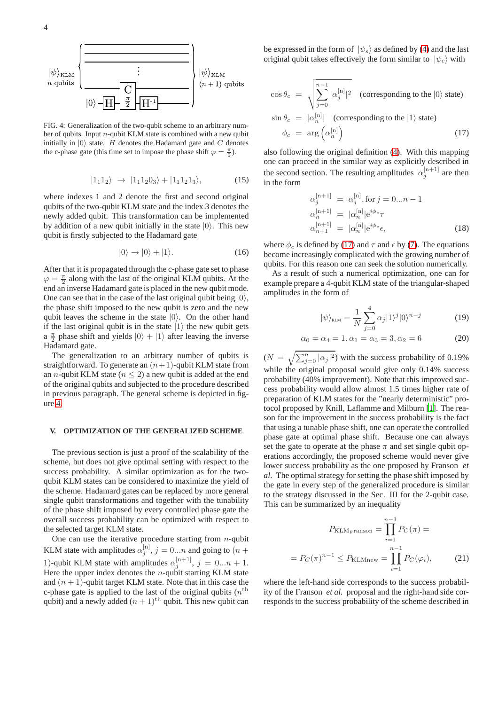4



<span id="page-3-0"></span>FIG. 4: Generalization of the two-qubit scheme to an arbitrary number of qubits. Input  $n$ -qubit KLM state is combined with a new qubit initially in  $|0\rangle$  state. H denotes the Hadamard gate and C denotes the c-phase gate (this time set to impose the phase shift  $\varphi = \frac{\pi}{2}$ ).

$$
|1_11_2\rangle \rightarrow |1_11_20_3\rangle + |1_11_21_3\rangle, \tag{15}
$$

where indexes 1 and 2 denote the first and second original qubits of the two-qubit KLM state and the index 3 denotes the newly added qubit. This transformation can be implemented by addition of a new qubit initially in the state  $|0\rangle$ . This new qubit is firstly subjected to the Hadamard gate

$$
|0\rangle \to |0\rangle + |1\rangle. \tag{16}
$$

After that it is propagated through the c-phase gate set to phase  $\varphi = \frac{\pi}{2}$  along with the last of the original KLM qubits. At the end an inverse Hadamard gate is placed in the new qubit mode. One can see that in the case of the last original qubit being  $|0\rangle$ , the phase shift imposed to the new qubit is zero and the new qubit leaves the scheme in the state  $|0\rangle$ . On the other hand if the last original qubit is in the state  $|1\rangle$  the new qubit gets a  $\frac{\pi}{2}$  phase shift and yields  $|0\rangle + |1\rangle$  after leaving the inverse Hadamard gate.

The generalization to an arbitrary number of qubits is straightforward. To generate an  $(n+1)$ -qubit KLM state from an *n*-qubit KLM state ( $n \leq 2$ ) a new qubit is added at the end of the original qubits and subjected to the procedure described in previous paragraph. The general scheme is depicted in figure [4.](#page-3-0)

### **V. OPTIMIZATION OF THE GENERALIZED SCHEME**

The previous section is just a proof of the scalability of the scheme, but does not give optimal setting with respect to the success probability. A similar optimization as for the twoqubit KLM states can be considered to maximize the yield of the scheme. Hadamard gates can be replaced by more general single qubit transformations and together with the tunability of the phase shift imposed by every controlled phase gate the overall success probability can be optimized with respect to the selected target KLM state.

One can use the iterative procedure starting from  $n$ -qubit KLM state with amplitudes  $\alpha_j^{[n]}$ ,  $j = 0...n$  and going to  $(n +$ 1)-qubit KLM state with amplitudes  $\alpha_j^{[n+1]}$ ,  $j = 0...n + 1$ . Here the upper index denotes the  $n$ -qubit starting KLM state and  $(n + 1)$ -qubit target KLM state. Note that in this case the c-phase gate is applied to the last of the original qubits  $(n<sup>th</sup>)$ qubit) and a newly added  $(n + 1)$ <sup>th</sup> qubit. This new qubit can

be expressed in the form of  $|\psi_s\rangle$  as defined by [\(4\)](#page-1-1) and the last original qubit takes effectively the form similar to  $|\psi_c\rangle$  with

<span id="page-3-1"></span>
$$
\cos \theta_c = \sqrt{\sum_{j=0}^{n-1} |\alpha_j^{[n]}|^2}
$$
 (corresponding to the  $|0\rangle$  state)  
\n
$$
\sin \theta_c = |\alpha_n^{[n]}|
$$
 (corresponding to the  $|1\rangle$  state)

$$
\phi_c = \arg\left(\alpha_n^{[n]}\right) \tag{17}
$$

also following the original definition [\(4\)](#page-1-1). With this mapping one can proceed in the similar way as explicitly described in the second section. The resulting amplitudes  $\alpha_j^{[n+1]}$  are then in the form

$$
\alpha_j^{[n+1]} = \alpha_j^{[n]}, \text{for } j = 0...n - 1
$$
  
\n
$$
\alpha_n^{[n+1]} = |\alpha_n^{[n]}| e^{i\phi_c} \tau
$$
  
\n
$$
\alpha_{n+1}^{[n+1]} = |\alpha_n^{[n]}| e^{i\phi_c} \epsilon,
$$
\n(18)

where  $\phi_c$  is defined by [\(17\)](#page-3-1) and  $\tau$  and  $\epsilon$  by [\(7\)](#page-1-6). The equations become increasingly complicated with the growing number of qubits. For this reason one can seek the solution numerically.

As a result of such a numerical optimization, one can for example prepare a 4-qubit KLM state of the triangular-shaped amplitudes in the form of

$$
|\psi\rangle_{\text{KLM}} = \frac{1}{N} \sum_{j=0}^{4} \alpha_j |1\rangle^j |0\rangle^{n-j} \tag{19}
$$

$$
\alpha_0 = \alpha_4 = 1, \alpha_1 = \alpha_3 = 3, \alpha_2 = 6 \tag{20}
$$

 $(N = \sqrt{\sum_{j=0}^{n} |\alpha_j|^2})$  with the success probability of 0.19% while the original proposal would give only 0.14% success probability (40% improvement). Note that this improved success probability would allow almost 1.5 times higher rate of preparation of KLM states for the "nearly deterministic" protocol proposed by Knill, Laflamme and Milburn [\[1\]](#page-4-0). The reason for the improvement in the success probability is the fact that using a tunable phase shift, one can operate the controlled phase gate at optimal phase shift. Because one can always set the gate to operate at the phase  $\pi$  and set single qubit operations accordingly, the proposed scheme would never give lower success probability as the one proposed by Franson *et al*. The optimal strategy for setting the phase shift imposed by the gate in every step of the generalized procedure is similar to the strategy discussed in the Sec. III for the 2-qubit case. This can be summarized by an inequality

$$
P_{\text{KLM}_\text{FTanson}} = \prod_{i=1}^{n-1} P_C(\pi) =
$$

$$
= P_C(\pi)^{n-1} \le P_{\text{KLMnew}} = \prod_{i=1}^{n-1} P_C(\varphi_i), \tag{21}
$$

where the left-hand side corresponds to the success probability of the Franson *et al.* proposal and the right-hand side corresponds to the success probability of the scheme described in